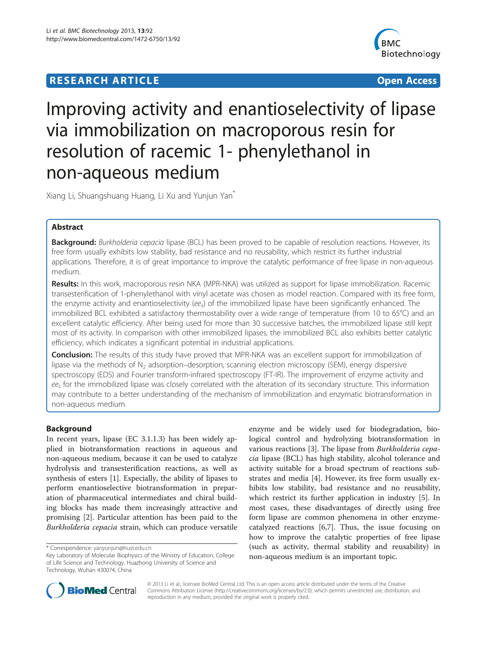# **RESEARCH ARTICLE Example 2014 CONSUMING A RESEARCH ARTICLE**



# Improving activity and enantioselectivity of lipase via immobilization on macroporous resin for resolution of racemic 1- phenylethanol in non-aqueous medium

Xiang Li, Shuangshuang Huang, Li Xu and Yunjun Yan\*

# Abstract

Background: Burkholderia cepacia lipase (BCL) has been proved to be capable of resolution reactions. However, its free form usually exhibits low stability, bad resistance and no reusability, which restrict its further industrial applications. Therefore, it is of great importance to improve the catalytic performance of free lipase in non-aqueous medium.

Results: In this work, macroporous resin NKA (MPR-NKA) was utilized as support for lipase immobilization. Racemic transesterification of 1-phenylethanol with vinyl acetate was chosen as model reaction. Compared with its free form, the enzyme activity and enantioselectivity (ee<sub>s</sub>) of the immobilized lipase have been significantly enhanced. The immobilized BCL exhibited a satisfactory thermostability over a wide range of temperature (from 10 to 65°C) and an excellent catalytic efficiency. After being used for more than 30 successive batches, the immobilized lipase still kept most of its activity. In comparison with other immobilized lipases, the immobilized BCL also exhibits better catalytic efficiency, which indicates a significant potential in industrial applications.

Conclusion: The results of this study have proved that MPR-NKA was an excellent support for immobilization of lipase via the methods of  $N<sub>2</sub>$  adsorption–desorption, scanning electron microscopy (SEM), energy dispersive spectroscopy (EDS) and Fourier transform-infrared spectroscopy (FT-IR). The improvement of enzyme activity and ee<sup>s</sup> for the immobilized lipase was closely correlated with the alteration of its secondary structure. This information may contribute to a better understanding of the mechanism of immobilization and enzymatic biotransformation in non-aqueous medium.

# Background

In recent years, lipase (EC 3.1.1.3) has been widely applied in biotransformation reactions in aqueous and non-aqueous medium, because it can be used to catalyze hydrolysis and transesterification reactions, as well as synthesis of esters [[1\]](#page-7-0). Especially, the ability of lipases to perform enantioselective biotransformation in preparation of pharmaceutical intermediates and chiral building blocks has made them increasingly attractive and promising [[2\]](#page-7-0). Particular attention has been paid to the Burkholderia cepacia strain, which can produce versatile

enzyme and be widely used for biodegradation, biological control and hydrolyzing biotransformation in various reactions [[3\]](#page-7-0). The lipase from Burkholderia cepacia lipase (BCL) has high stability, alcohol tolerance and activity suitable for a broad spectrum of reactions substrates and media [\[4](#page-8-0)]. However, its free form usually exhibits low stability, bad resistance and no reusability, which restrict its further application in industry [\[5](#page-8-0)]. In most cases, these disadvantages of directly using free form lipase are common phenomena in other enzymecatalyzed reactions [\[6,7](#page-8-0)]. Thus, the issue focusing on how to improve the catalytic properties of free lipase (such as activity, thermal stability and reusability) in non-aqueous medium is an important topic.



© 2013 Li et al.; licensee BioMed Central Ltd. This is an open access article distributed under the terms of the Creative Commons Attribution License [\(http://creativecommons.org/licenses/by/2.0\)](http://creativecommons.org/licenses/by/2.0), which permits unrestricted use, distribution, and reproduction in any medium, provided the original work is properly cited.

<sup>\*</sup> Correspondence: [yanyunjun@hust.edu.cn](mailto:yanyunjun@hust.edu.cn)

Key Laboratory of Molecular Biophysics of the Ministry of Education, College of Life Science and Technology, Huazhong University of Science and Technology, Wuhan 430074, China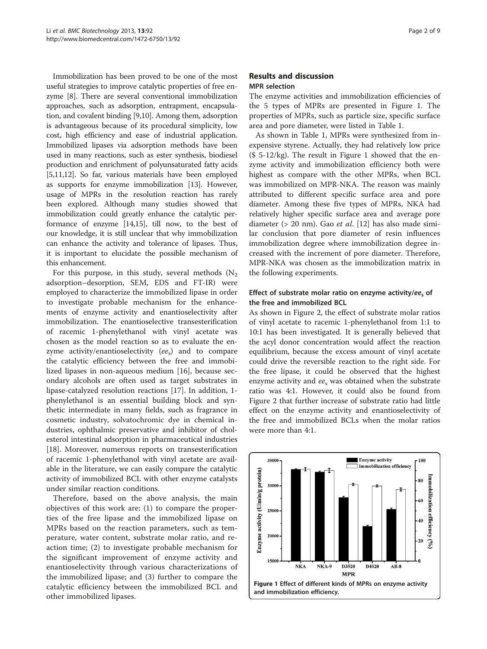Immobilization has been proved to be one of the most useful strategies to improve catalytic properties of free enzyme [[8\]](#page-8-0). There are several conventional immobilization approaches, such as adsorption, entrapment, encapsulation, and covalent binding [\[9,10](#page-8-0)]. Among them, adsorption is advantageous because of its procedural simplicity, low cost, high efficiency and ease of industrial application. Immobilized lipases via adsorption methods have been used in many reactions, such as ester synthesis, biodiesel production and enrichment of polyunsaturated fatty acids [[5,11,12\]](#page-8-0). So far, various materials have been employed as supports for enzyme immobilization [[13](#page-8-0)]. However, usage of MPRs in the resolution reaction has rarely been explored. Although many studies showed that immobilization could greatly enhance the catalytic performance of enzyme [[14,15](#page-8-0)], till now, to the best of our knowledge, it is still unclear that why immobilization can enhance the activity and tolerance of lipases. Thus, it is important to elucidate the possible mechanism of this enhancement.

For this purpose, in this study, several methods  $(N_2)$ adsorption–desorption, SEM, EDS and FT-IR) were employed to characterize the immobilized lipase in order to investigate probable mechanism for the enhancements of enzyme activity and enantioselectivity after immobilization. The enantioselective transesterification of racemic 1-phenylethanol with vinyl acetate was chosen as the model reaction so as to evaluate the enzyme activity/enantioselectivity  $(ee_s)$  and to compare the catalytic efficiency between the free and immobilized lipases in non-aqueous medium [[16](#page-8-0)], because secondary alcohols are often used as target substrates in lipase-catalyzed resolution reactions [\[17\]](#page-8-0). In addition, 1 phenylethanol is an essential building block and synthetic intermediate in many fields, such as fragrance in cosmetic industry, solvatochromic dye in chemical industries, ophthalmic preservative and inhibitor of cholesterol intestinal adsorption in pharmaceutical industries [[18\]](#page-8-0). Moreover, numerous reports on transesterification of racemic 1-phenylethanol with vinyl acetate are available in the literature, we can easily compare the catalytic activity of immobilized BCL with other enzyme catalysts under similar reaction conditions.

Therefore, based on the above analysis, the main objectives of this work are: (1) to compare the properties of the free lipase and the immobilized lipase on MPRs based on the reaction parameters, such as temperature, water content, substrate molar ratio, and reaction time; (2) to investigate probable mechanism for the significant improvement of enzyme activity and enantioselectivity through various characterizations of the immobilized lipase; and (3) further to compare the catalytic efficiency between the immobilized BCL and other immobilized lipases.

# Results and discussion MPR selection

The enzyme activities and immobilization efficiencies of the 5 types of MPRs are presented in Figure 1. The properties of MPRs, such as particle size, specific surface area and pore diameter, were listed in Table [1.](#page-2-0)

As shown in Table [1](#page-2-0), MPRs were synthesized from inexpensive styrene. Actually, they had relatively low price (\$ 5-12/kg). The result in Figure 1 showed that the enzyme activity and immobilization efficiency both were highest as compare with the other MPRs, when BCL was immobilized on MPR-NKA. The reason was mainly attributed to different specific surface area and pore diameter. Among these five types of MPRs, NKA had relatively higher specific surface area and average pore diameter (> 20 nm). Gao et al. [\[12](#page-8-0)] has also made similar conclusion that pore diameter of resin influences immobilization degree where immobilization degree increased with the increment of pore diameter. Therefore, MPR-NKA was chosen as the immobilization matrix in the following experiments.

# Effect of substrate molar ratio on enzyme activity/ees of the free and immobilized BCL

As shown in Figure [2](#page-2-0), the effect of substrate molar ratios of vinyl acetate to racemic 1-phenylethanol from 1:1 to 10:1 has been investigated. It is generally believed that the acyl donor concentration would affect the reaction equilibrium, because the excess amount of vinyl acetate could drive the reversible reaction to the right side. For the free lipase, it could be observed that the highest enzyme activity and ees was obtained when the substrate ratio was 4:1. However, it could also be found from Figure [2](#page-2-0) that further increase of substrate ratio had little effect on the enzyme activity and enantioselectivity of the free and immobilized BCLs when the molar ratios were more than 4:1.

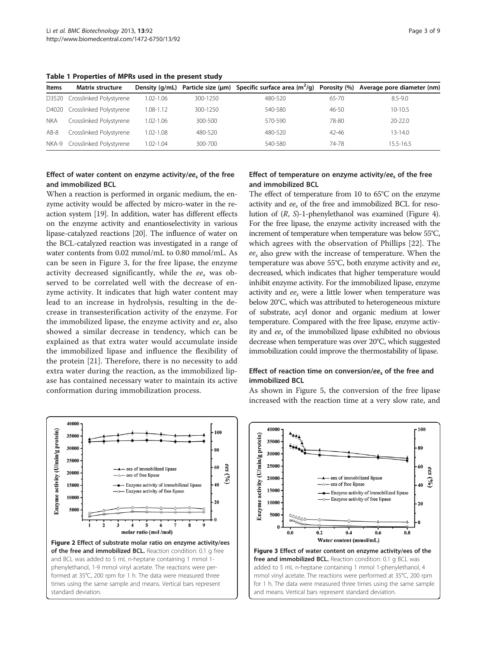| <b>Items</b> | <b>Matrix structure</b>       |           |          |         |           | Density (q/mL) Particle size (µm) Specific surface area ( $m^2$ /q) Porosity (%) Average pore diameter (nm) |
|--------------|-------------------------------|-----------|----------|---------|-----------|-------------------------------------------------------------------------------------------------------------|
| D3520        | Crosslinked Polystyrene       | 1.02-1.06 | 300-1250 | 480-520 | $65 - 70$ | $8.5 - 9.0$                                                                                                 |
|              | D4020 Crosslinked Polystyrene | 1.08-1.12 | 300-1250 | 540-580 | $46 - 50$ | $10-10.5$                                                                                                   |
| <b>NKA</b>   | Crosslinked Polystyrene       | 1.02-1.06 | 300-500  | 570-590 | 78-80     | $20 - 22.0$                                                                                                 |
| $AB-8$       | Crosslinked Polystyrene       | 1.02-1.08 | 480-520  | 480-520 | $42 - 46$ | $13 - 14.0$                                                                                                 |
|              | NKA-9 Crosslinked Polystyrene | 1.02-1.04 | 300-700  | 540-580 | 74-78     | 15.5-16.5                                                                                                   |

<span id="page-2-0"></span>Table 1 Properties of MPRs used in the present study

# Effect of water content on enzyme activity/ee<sub>s</sub> of the free and immobilized BCL

When a reaction is performed in organic medium, the enzyme activity would be affected by micro-water in the reaction system [\[19\]](#page-8-0). In addition, water has different effects on the enzyme activity and enantioselectivity in various lipase-catalyzed reactions [\[20\]](#page-8-0). The influence of water on the BCL-catalyzed reaction was investigated in a range of water contents from 0.02 mmol/mL to 0.80 mmol/mL. As can be seen in Figure 3, for the free lipase, the enzyme activity decreased significantly, while the  $ee<sub>s</sub>$  was observed to be correlated well with the decrease of enzyme activity. It indicates that high water content may lead to an increase in hydrolysis, resulting in the decrease in transesterification activity of the enzyme. For the immobilized lipase, the enzyme activity and  $ee<sub>s</sub>$  also showed a similar decrease in tendency, which can be explained as that extra water would accumulate inside the immobilized lipase and influence the flexibility of the protein [[21\]](#page-8-0). Therefore, there is no necessity to add extra water during the reaction, as the immobilized lipase has contained necessary water to maintain its active conformation during immobilization process.



# Effect of temperature on enzyme activity/ees of the free and immobilized BCL

The effect of temperature from 10 to 65°C on the enzyme activity and  $ee<sub>s</sub>$  of the free and immobilized BCL for resolution of (R, S)-1-phenylethanol was examined (Figure [4](#page-3-0)). For the free lipase, the enzyme activity increased with the increment of temperature when temperature was below 55°C, which agrees with the observation of Phillips [\[22](#page-8-0)]. The  $ee<sub>s</sub>$  also grew with the increase of temperature. When the temperature was above 55°C, both enzyme activity and  $ee_s$ decreased, which indicates that higher temperature would inhibit enzyme activity. For the immobilized lipase, enzyme activity and  $ee_s$  were a little lower when temperature was below 20°C, which was attributed to heterogeneous mixture of substrate, acyl donor and organic medium at lower temperature. Compared with the free lipase, enzyme activity and ees of the immobilized lipase exhibited no obvious decrease when temperature was over 20°C, which suggested immobilization could improve the thermostability of lipase.

# Effect of reaction time on conversion/ee<sub>s</sub> of the free and immobilized BCL

As shown in Figure [5](#page-3-0), the conversion of the free lipase increased with the reaction time at a very slow rate, and

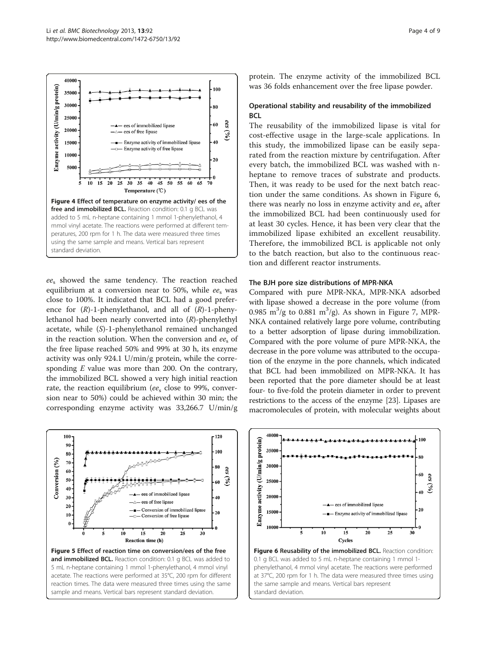<span id="page-3-0"></span>

ee<sup>s</sup> showed the same tendency. The reaction reached equilibrium at a conversion near to 50%, while  $ee<sub>s</sub>$  was close to 100%. It indicated that BCL had a good preference for  $(R)$ -1-phenylethanol, and all of  $(R)$ -1-phenylethanol had been nearly converted into (R)-phenylethyl acetate, while (S)-1-phenylethanol remained unchanged in the reaction solution. When the conversion and  $ee<sub>s</sub>$  of the free lipase reached 50% and 99% at 30 h, its enzyme activity was only 924.1 U/min/g protein, while the corresponding  $E$  value was more than 200. On the contrary, the immobilized BCL showed a very high initial reaction rate, the reaction equilibrium (ee<sub>s</sub> close to 99%, conversion near to 50%) could be achieved within 30 min; the corresponding enzyme activity was 33,266.7 U/min/g



protein. The enzyme activity of the immobilized BCL was 36 folds enhancement over the free lipase powder.

# Operational stability and reusability of the immobilized **BCL**

The reusability of the immobilized lipase is vital for cost-effective usage in the large-scale applications. In this study, the immobilized lipase can be easily separated from the reaction mixture by centrifugation. After every batch, the immobilized BCL was washed with nheptane to remove traces of substrate and products. Then, it was ready to be used for the next batch reaction under the same conditions. As shown in Figure 6, there was nearly no loss in enzyme activity and  $ee<sub>s</sub>$  after the immobilized BCL had been continuously used for at least 30 cycles. Hence, it has been very clear that the immobilized lipase exhibited an excellent reusability. Therefore, the immobilized BCL is applicable not only to the batch reaction, but also to the continuous reaction and different reactor instruments.

#### The BJH pore size distributions of MPR-NKA

Compared with pure MPR-NKA, MPR-NKA adsorbed with lipase showed a decrease in the pore volume (from 0.985 m<sup>3</sup>/g to 0.881 m<sup>3</sup>/g). As shown in Figure [7](#page-4-0), MPR-NKA contained relatively large pore volume, contributing to a better adsorption of lipase during immobilization. Compared with the pore volume of pure MPR-NKA, the decrease in the pore volume was attributed to the occupation of the enzyme in the pore channels, which indicated that BCL had been immobilized on MPR-NKA. It has been reported that the pore diameter should be at least four- to five-fold the protein diameter in order to prevent restrictions to the access of the enzyme [\[23\]](#page-8-0). Lipases are macromolecules of protein, with molecular weights about



at 37°C, 200 rpm for 1 h. The data were measured three times using the same sample and means. Vertical bars represent standard deviation.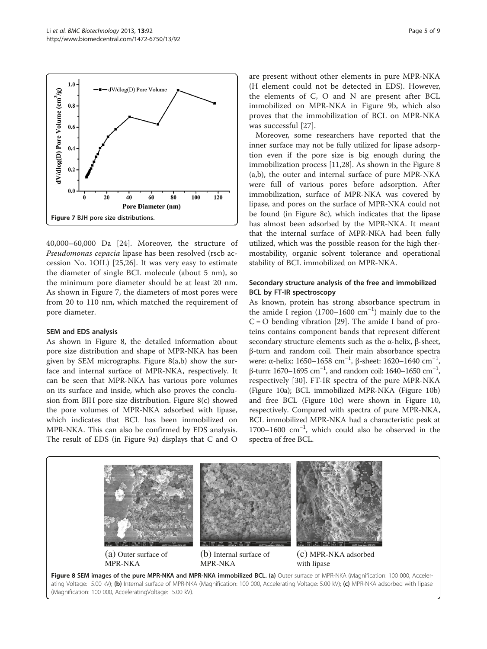<span id="page-4-0"></span>

40,000–60,000 Da [[24](#page-8-0)]. Moreover, the structure of Pseudomonas cepacia lipase has been resolved (rscb accession No. 1OIL) [[25,26](#page-8-0)]. It was very easy to estimate the diameter of single BCL molecule (about 5 nm), so the minimum pore diameter should be at least 20 nm. As shown in Figure 7, the diameters of most pores were from 20 to 110 nm, which matched the requirement of pore diameter.

#### SEM and EDS analysis

As shown in Figure 8, the detailed information about pore size distribution and shape of MPR-NKA has been given by SEM micrographs. Figure 8(a,b) show the surface and internal surface of MPR-NKA, respectively. It can be seen that MPR-NKA has various pore volumes on its surface and inside, which also proves the conclusion from BJH pore size distribution. Figure 8(c) showed the pore volumes of MPR-NKA adsorbed with lipase, which indicates that BCL has been immobilized on MPR-NKA. This can also be confirmed by EDS analysis. The result of EDS (in Figure [9](#page-5-0)a) displays that C and O

are present without other elements in pure MPR-NKA (H element could not be detected in EDS). However, the elements of C, O and N are present after BCL immobilized on MPR-NKA in Figure [9](#page-5-0)b, which also proves that the immobilization of BCL on MPR-NKA was successful [[27\]](#page-8-0).

Moreover, some researchers have reported that the inner surface may not be fully utilized for lipase adsorption even if the pore size is big enough during the immobilization process [[11,28\]](#page-8-0). As shown in the Figure 8 (a,b), the outer and internal surface of pure MPR-NKA were full of various pores before adsorption. After immobilization, surface of MPR-NKA was covered by lipase, and pores on the surface of MPR-NKA could not be found (in Figure 8c), which indicates that the lipase has almost been adsorbed by the MPR-NKA. It meant that the internal surface of MPR-NKA had been fully utilized, which was the possible reason for the high thermostability, organic solvent tolerance and operational stability of BCL immobilized on MPR-NKA.

# Secondary structure analysis of the free and immobilized BCL by FT-IR spectroscopy

As known, protein has strong absorbance spectrum in the amide I region (1700–1600 cm−<sup>1</sup> ) mainly due to the  $C = O$  bending vibration [\[29\]](#page-8-0). The amide I band of proteins contains component bands that represent different secondary structure elements such as the α-helix, β-sheet, β-turn and random coil. Their main absorbance spectra were: α-helix: 1650–1658 cm<sup>-1</sup>, β-sheet: 1620–1640 cm<sup>-1</sup>,  $β$ -turn: 1670–1695 cm<sup>-1</sup>, and random coil: 1640–1650 cm<sup>-1</sup>, respectively [\[30](#page-8-0)]. FT-IR spectra of the pure MPR-NKA (Figure [10](#page-5-0)a); BCL immobilized MPR-NKA (Figure [10](#page-5-0)b) and free BCL (Figure [10](#page-5-0)c) were shown in Figure [10](#page-5-0), respectively. Compared with spectra of pure MPR-NKA, BCL immobilized MPR-NKA had a characteristic peak at 1700–1600 cm−<sup>1</sup> , which could also be observed in the spectra of free BCL.



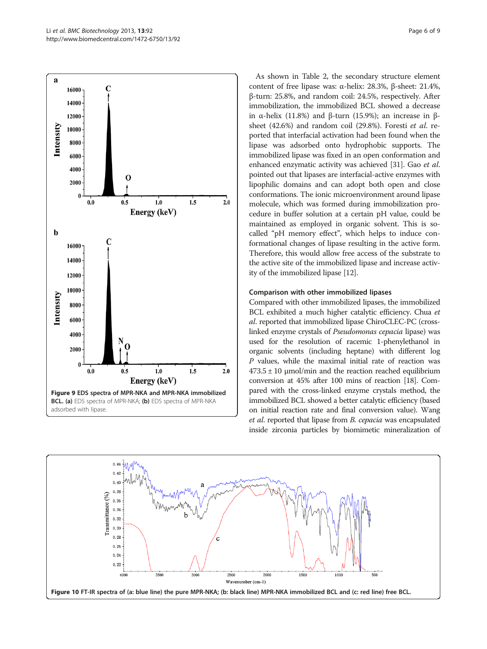<span id="page-5-0"></span>

As shown in Table [2,](#page-6-0) the secondary structure element content of free lipase was: α-helix: 28.3%, β-sheet: 21.4%, β-turn: 25.8%, and random coil: 24.5%, respectively. After immobilization, the immobilized BCL showed a decrease in α-helix (11.8%) and β-turn (15.9%); an increase in βsheet (42.6%) and random coil (29.8%). Foresti et al. reported that interfacial activation had been found when the lipase was adsorbed onto hydrophobic supports. The immobilized lipase was fixed in an open conformation and enhanced enzymatic activity was achieved [\[31](#page-8-0)]. Gao et al. pointed out that lipases are interfacial-active enzymes with lipophilic domains and can adopt both open and close conformations. The ionic microenvironment around lipase molecule, which was formed during immobilization procedure in buffer solution at a certain pH value, could be maintained as employed in organic solvent. This is socalled "pH memory effect", which helps to induce conformational changes of lipase resulting in the active form. Therefore, this would allow free access of the substrate to the active site of the immobilized lipase and increase activity of the immobilized lipase [\[12\]](#page-8-0).

#### Comparison with other immobilized lipases

Compared with other immobilized lipases, the immobilized BCL exhibited a much higher catalytic efficiency. Chua et al. reported that immobilized lipase ChiroCLEC-PC (crosslinked enzyme crystals of Pseudomonas cepacia lipase) was used for the resolution of racemic 1-phenylethanol in organic solvents (including heptane) with different log P values, while the maximal initial rate of reaction was  $473.5 \pm 10$  µmol/min and the reaction reached equilibrium conversion at 45% after 100 mins of reaction [\[18](#page-8-0)]. Compared with the cross-linked enzyme crystals method, the immobilized BCL showed a better catalytic efficiency (based on initial reaction rate and final conversion value). Wang et al. reported that lipase from B. cepacia was encapsulated inside zirconia particles by biomimetic mineralization of

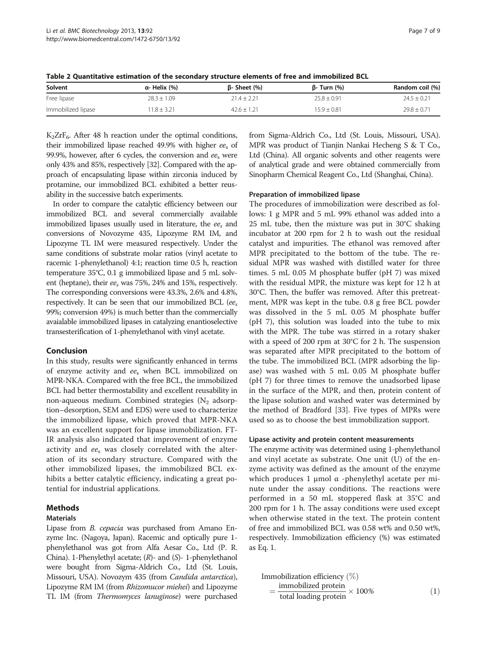| Solvent            | α- Helix (%)   | $\beta$ - Sheet (%) | ß- Turn (%)     | Random coil (%) |
|--------------------|----------------|---------------------|-----------------|-----------------|
| Free lipase        | $28.3 + 1.09$  | $214 + 221$         | $25.8 + 0.91$   | $74.5 + 0.21$   |
| Immobilized lipase | $1.8 \pm 3.21$ | $42.6 \pm 1.21$     | $15.9 \pm 0.81$ | $29.8 \pm 0.71$ |

<span id="page-6-0"></span>Table 2 Quantitative estimation of the secondary structure elements of free and immobilized BCL

 $K_2ZrF_6$ . After 48 h reaction under the optimal conditions, their immobilized lipase reached 49.9% with higher  $ee<sub>s</sub>$  of 99.9%, however, after 6 cycles, the conversion and  $ee<sub>s</sub>$  were only 43% and 85%, respectively [[32](#page-8-0)]. Compared with the approach of encapsulating lipase within zirconia induced by protamine, our immobilized BCL exhibited a better reusability in the successive batch experiments.

In order to compare the catalytic efficiency between our immobilized BCL and several commercially available immobilized lipases usually used in literature, the  $ee<sub>s</sub>$  and conversions of Novozyme 435, Lipozyme RM IM, and Lipozyme TL IM were measured respectively. Under the same conditions of substrate molar ratios (vinyl acetate to racemic 1-phenylethanol) 4:1; reaction time 0.5 h, reaction temperature 35°C, 0.1 g immobilized lipase and 5 mL solvent (heptane), their  $ee<sub>s</sub>$  was 75%, 24% and 15%, respectively. The corresponding conversions were 43.3%, 2.6% and 4.8%, respectively. It can be seen that our immobilized BCL ( $ee_s$ ) 99%; conversion 49%) is much better than the commercially avaialable immobilized lipases in catalyzing enantioselective transesterification of 1-phenylethanol with vinyl acetate.

#### Conclusion

In this study, results were significantly enhanced in terms of enzyme activity and  $ee$ <sub>s</sub> when BCL immobilized on MPR-NKA. Compared with the free BCL, the immobilized BCL had better thermostability and excellent reusability in non-aqueous medium. Combined strategies  $(N_2 \text{ adsorp}$ tion–desorption, SEM and EDS) were used to characterize the immobilized lipase, which proved that MPR-NKA was an excellent support for lipase immobilization. FT-IR analysis also indicated that improvement of enzyme activity and  $ee<sub>s</sub>$  was closely correlated with the alteration of its secondary structure. Compared with the other immobilized lipases, the immobilized BCL exhibits a better catalytic efficiency, indicating a great potential for industrial applications.

#### Methods

#### Materials

Lipase from B. cepacia was purchased from Amano Enzyme Inc. (Nagoya, Japan). Racemic and optically pure 1 phenylethanol was got from Alfa Aesar Co., Ltd (P. R. China). 1-Phenylethyl acetate;  $(R)$ - and  $(S)$ - 1-phenylethanol were bought from Sigma-Aldrich Co., Ltd (St. Louis, Missouri, USA). Novozym 435 (from Candida antarctica), Lipozyme RM IM (from Rhizomucor miehei) and Lipozyme TL IM (from Thermomyces lanuginose) were purchased

from Sigma-Aldrich Co., Ltd (St. Louis, Missouri, USA). MPR was product of Tianjin Nankai Hecheng S & T Co., Ltd (China). All organic solvents and other reagents were of analytical grade and were obtained commercially from Sinopharm Chemical Reagent Co., Ltd (Shanghai, China).

#### Preparation of immobilized lipase

The procedures of immobilization were described as follows: 1 g MPR and 5 mL 99% ethanol was added into a 25 mL tube, then the mixture was put in 30°C shaking incubator at 200 rpm for 2 h to wash out the residual catalyst and impurities. The ethanol was removed after MPR precipitated to the bottom of the tube. The residual MPR was washed with distilled water for three times. 5 mL 0.05 M phosphate buffer (pH 7) was mixed with the residual MPR, the mixture was kept for 12 h at 30°C. Then, the buffer was removed. After this pretreatment, MPR was kept in the tube. 0.8 g free BCL powder was dissolved in the 5 mL 0.05 M phosphate buffer (pH 7), this solution was loaded into the tube to mix with the MPR. The tube was stirred in a rotary shaker with a speed of 200 rpm at 30°C for 2 h. The suspension was separated after MPR precipitated to the bottom of the tube. The immobilized BCL (MPR adsorbing the lipase) was washed with 5 mL 0.05 M phosphate buffer (pH 7) for three times to remove the unadsorbed lipase in the surface of the MPR, and then, protein content of the lipase solution and washed water was determined by the method of Bradford [[33\]](#page-8-0). Five types of MPRs were used so as to choose the best immobilization support.

#### Lipase activity and protein content measurements

The enzyme activity was determined using 1-phenylethanol and vinyl acetate as substrate. One unit (U) of the enzyme activity was defined as the amount of the enzyme which produces 1 μmol  $\alpha$  -phenylethyl acetate per minute under the assay conditions. The reactions were performed in a 50 mL stoppered flask at 35°C and 200 rpm for 1 h. The assay conditions were used except when otherwise stated in the text. The protein content of free and immobilized BCL was 0.58 wt% and 0.50 wt%, respectively. Immobilization efficiency (%) was estimated as Eq. 1.

Immobilization efficiency 
$$
(\%)
$$
  
= $\frac{\text{immobilized protein}}{\text{total loading protein}} \times 100\%$  (1)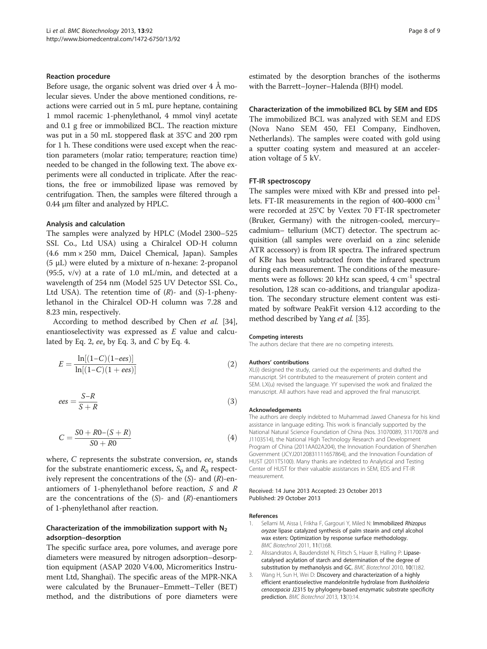#### <span id="page-7-0"></span>Reaction procedure

Before usage, the organic solvent was dried over  $4 \text{ Å}$  molecular sieves. Under the above mentioned conditions, reactions were carried out in 5 mL pure heptane, containing 1 mmol racemic 1-phenylethanol, 4 mmol vinyl acetate and 0.1 g free or immobilized BCL. The reaction mixture was put in a 50 mL stoppered flask at 35°C and 200 rpm for 1 h. These conditions were used except when the reaction parameters (molar ratio; temperature; reaction time) needed to be changed in the following text. The above experiments were all conducted in triplicate. After the reactions, the free or immobilized lipase was removed by centrifugation. Then, the samples were filtered through a 0.44 μm filter and analyzed by HPLC.

#### Analysis and calculation

The samples were analyzed by HPLC (Model 2300–525 SSI. Co., Ltd USA) using a Chiralcel OD-H column (4.6 mm × 250 mm, Daicel Chemical, Japan). Samples (5 μL) were eluted by a mixture of n-hexane: 2-propanol (95:5,  $v/v$ ) at a rate of 1.0 mL/min, and detected at a wavelength of 254 nm (Model 525 UV Detector SSI. Co., Ltd USA). The retention time of  $(R)$ - and  $(S)$ -1-phenylethanol in the Chiralcel OD-H column was 7.28 and 8.23 min, respectively.

According to method described by Chen et al. [\[34](#page-8-0)], enantioselectivity was expressed as E value and calculated by Eq. 2,  $ee_s$  by Eq. 3, and C by Eq. 4.

$$
E = \frac{\ln[(1-C)(1-ees)]}{\ln[(1-C)(1+ees)]}
$$
 (2)

$$
ees = \frac{S - R}{S + R} \tag{3}
$$

$$
C = \frac{S0 + R0 - (S + R)}{S0 + R0}
$$
\n(4)

where, C represents the substrate conversion,  $ee<sub>s</sub>$  stands for the substrate enantiomeric excess,  $S_0$  and  $R_0$  respectively represent the concentrations of the  $(S)$ - and  $(R)$ -enantiomers of 1-phenylethanol before reaction, S and R are the concentrations of the  $(S)$ - and  $(R)$ -enantiomers of 1-phenylethanol after reaction.

# Characterization of the immobilization support with  $N_2$ adsorption–desorption

The specific surface area, pore volumes, and average pore diameters were measured by nitrogen adsorption–desorption equipment (ASAP 2020 V4.00, Micromeritics Instrument Ltd, Shanghai). The specific areas of the MPR-NKA were calculated by the Brunauer–Emmett–Teller (BET) method, and the distributions of pore diameters were estimated by the desorption branches of the isotherms with the Barrett–Joyner–Halenda (BJH) model.

# Characterization of the immobilized BCL by SEM and EDS The immobilized BCL was analyzed with SEM and EDS (Nova Nano SEM 450, FEI Company, Eindhoven, Netherlands). The samples were coated with gold using a sputter coating system and measured at an acceleration voltage of 5 kV.

#### FT-IR spectroscopy

The samples were mixed with KBr and pressed into pellets. FT-IR measurements in the region of 400-4000 cm<sup>-1</sup> were recorded at 25°C by Vextex 70 FT-IR spectrometer (Bruker, Germany) with the nitrogen-cooled, mercury– cadmium– tellurium (MCT) detector. The spectrum acquisition (all samples were overlaid on a zinc selenide ATR accessory) is from IR spectra. The infrared spectrum of KBr has been subtracted from the infrared spectrum during each measurement. The conditions of the measurements were as follows: 20 kHz scan speed,  $4 \text{ cm}^{-1}$  spectral resolution, 128 scan co-additions, and triangular apodization. The secondary structure element content was estimated by software PeakFit version 4.12 according to the method described by Yang et al. [\[35\]](#page-8-0).

#### Competing interests

The authors declare that there are no competing interests.

#### Authors' contributions

XL(i) designed the study, carried out the experiments and drafted the manuscript. SH contributed to the measurement of protein content and SEM. LX(u) revised the language. YY supervised the work and finalized the manuscript. All authors have read and approved the final manuscript.

#### Acknowledgements

The authors are deeply indebted to Muhammad Jawed Chanesra for his kind assistance in language editing. This work is financially supported by the National Natural Science Foundation of China (Nos. 31070089, 31170078 and J1103514), the National High Technology Research and Development Program of China (2011AA02A204), the Innovation Foundation of Shenzhen Government (JCYJ20120831111657864), and the Innovation Foundation of HUST (2011TS100). Many thanks are indebted to Analytical and Testing Center of HUST for their valuable assistances in SEM, EDS and FT-IR measurement.

#### Received: 14 June 2013 Accepted: 23 October 2013 Published: 29 October 2013

#### References

- 1. Sellami M, Aissa I, Frikha F, Gargouri Y, Miled N: Immobilized Rhizopus oryzae lipase catalyzed synthesis of palm stearin and cetyl alcohol wax esters: Optimization by response surface methodology. BMC Biotechnol 2011, 11(1):68.
- 2. Alissandratos A, Baudendistel N, Flitsch S, Hauer B, Halling P: Lipasecatalysed acylation of starch and determination of the degree of substitution by methanolysis and GC. BMC Biotechnol 2010, 10(1):82.
- 3. Wang H, Sun H, Wei D: Discovery and characterization of a highly efficient enantioselective mandelonitrile hydrolase from Burkholderia cenocepacia J2315 by phylogeny-based enzymatic substrate specificity prediction. BMC Biotechnol 2013, 13(1):14.